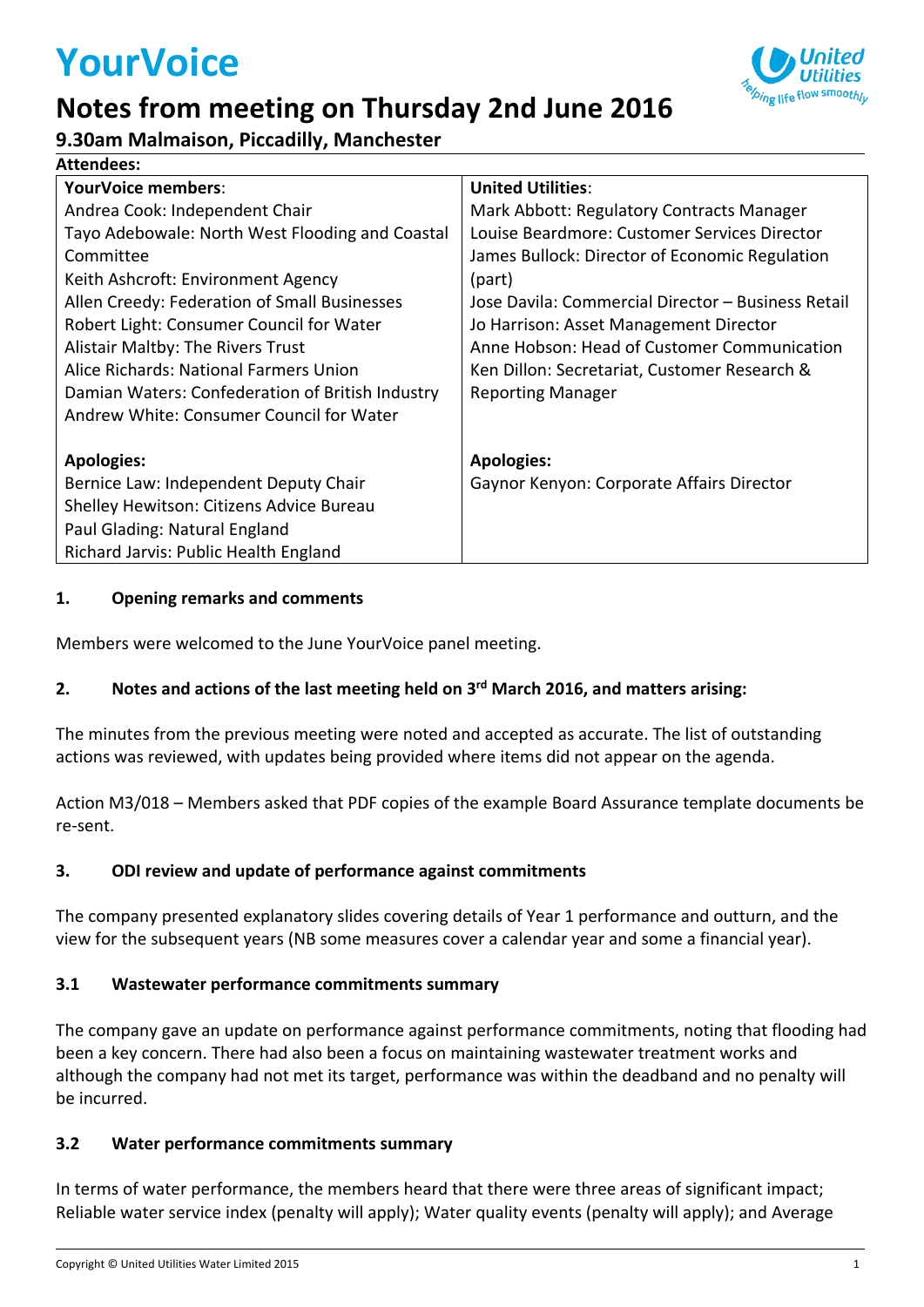# **YourVoice**

### **Notes from meeting on Thursday 2nd June 2016**

**9.30am Malmaison, Piccadilly, Manchester**

| <b>Attendees:</b>                                |                                                    |
|--------------------------------------------------|----------------------------------------------------|
| <b>YourVoice members:</b>                        | <b>United Utilities:</b>                           |
| Andrea Cook: Independent Chair                   | Mark Abbott: Regulatory Contracts Manager          |
| Tayo Adebowale: North West Flooding and Coastal  | Louise Beardmore: Customer Services Director       |
| Committee                                        | James Bullock: Director of Economic Regulation     |
| Keith Ashcroft: Environment Agency               | (part)                                             |
| Allen Creedy: Federation of Small Businesses     | Jose Davila: Commercial Director - Business Retail |
| Robert Light: Consumer Council for Water         | Jo Harrison: Asset Management Director             |
| Alistair Maltby: The Rivers Trust                | Anne Hobson: Head of Customer Communication        |
| Alice Richards: National Farmers Union           | Ken Dillon: Secretariat, Customer Research &       |
| Damian Waters: Confederation of British Industry | <b>Reporting Manager</b>                           |
| Andrew White: Consumer Council for Water         |                                                    |
|                                                  |                                                    |
| <b>Apologies:</b>                                | <b>Apologies:</b>                                  |
| Bernice Law: Independent Deputy Chair            | Gaynor Kenyon: Corporate Affairs Director          |
| Shelley Hewitson: Citizens Advice Bureau         |                                                    |
| Paul Glading: Natural England                    |                                                    |
| Richard Jarvis: Public Health England            |                                                    |

#### **1. Opening remarks and comments**

Members were welcomed to the June YourVoice panel meeting.

#### **2. Notes and actions of the last meeting held on 3 rd March 2016, and matters arising:**

The minutes from the previous meeting were noted and accepted as accurate. The list of outstanding actions was reviewed, with updates being provided where items did not appear on the agenda.

Action M3/018 – Members asked that PDF copies of the example Board Assurance template documents be re-sent.

#### **3. ODI review and update of performance against commitments**

The company presented explanatory slides covering details of Year 1 performance and outturn, and the view for the subsequent years (NB some measures cover a calendar year and some a financial year).

#### **3.1 Wastewater performance commitments summary**

The company gave an update on performance against performance commitments, noting that flooding had been a key concern. There had also been a focus on maintaining wastewater treatment works and although the company had not met its target, performance was within the deadband and no penalty will be incurred.

#### **3.2 Water performance commitments summary**

In terms of water performance, the members heard that there were three areas of significant impact; Reliable water service index (penalty will apply); Water quality events (penalty will apply); and Average

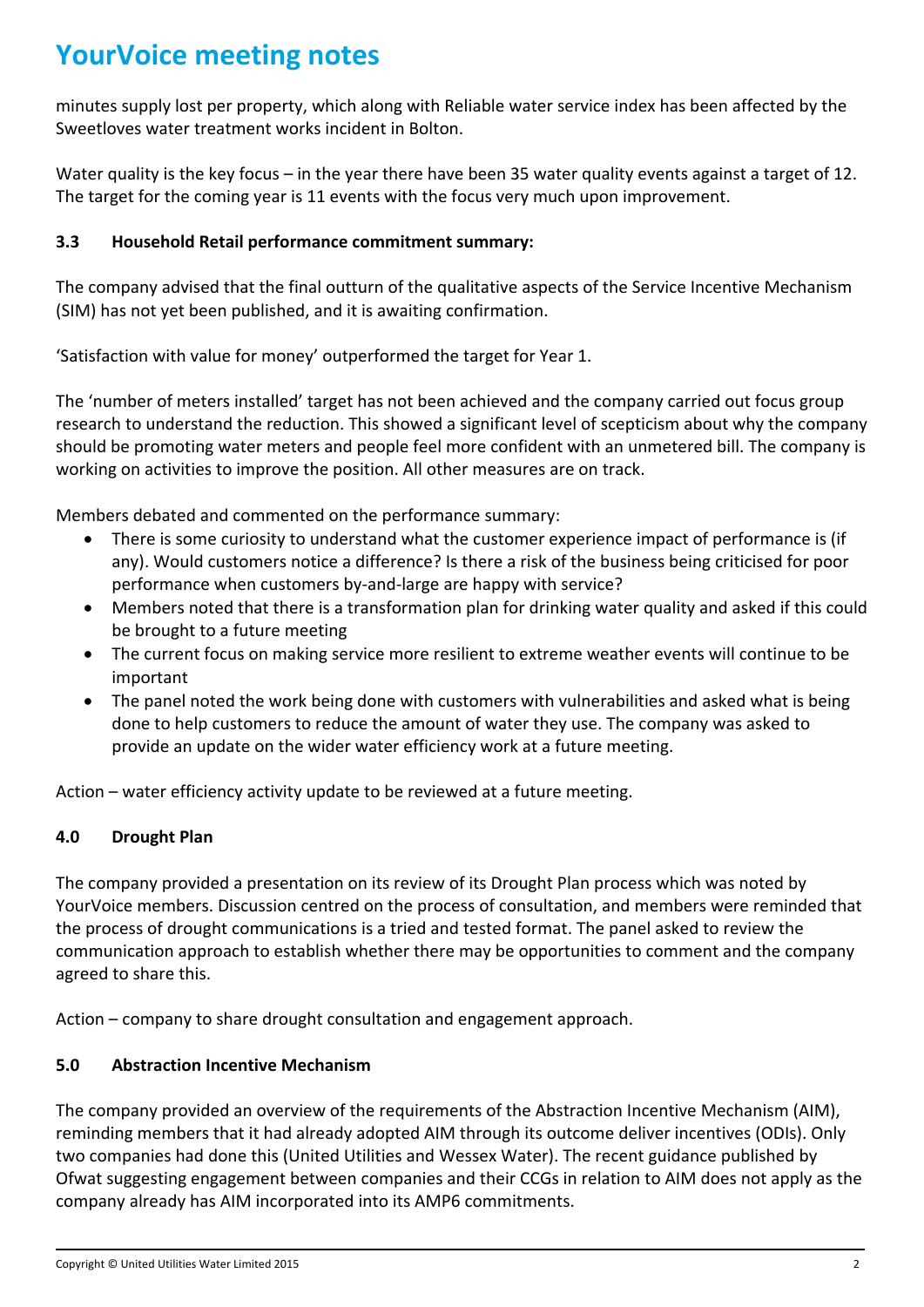## **YourVoice meeting notes**

minutes supply lost per property, which along with Reliable water service index has been affected by the Sweetloves water treatment works incident in Bolton.

Water quality is the key focus – in the year there have been 35 water quality events against a target of 12. The target for the coming year is 11 events with the focus very much upon improvement.

#### **3.3 Household Retail performance commitment summary:**

The company advised that the final outturn of the qualitative aspects of the Service Incentive Mechanism (SIM) has not yet been published, and it is awaiting confirmation.

'Satisfaction with value for money' outperformed the target for Year 1.

The 'number of meters installed' target has not been achieved and the company carried out focus group research to understand the reduction. This showed a significant level of scepticism about why the company should be promoting water meters and people feel more confident with an unmetered bill. The company is working on activities to improve the position. All other measures are on track.

Members debated and commented on the performance summary:

- There is some curiosity to understand what the customer experience impact of performance is (if any). Would customers notice a difference? Is there a risk of the business being criticised for poor performance when customers by-and-large are happy with service?
- Members noted that there is a transformation plan for drinking water quality and asked if this could be brought to a future meeting
- The current focus on making service more resilient to extreme weather events will continue to be important
- The panel noted the work being done with customers with vulnerabilities and asked what is being done to help customers to reduce the amount of water they use. The company was asked to provide an update on the wider water efficiency work at a future meeting.

Action – water efficiency activity update to be reviewed at a future meeting.

#### **4.0 Drought Plan**

The company provided a presentation on its review of its Drought Plan process which was noted by YourVoice members. Discussion centred on the process of consultation, and members were reminded that the process of drought communications is a tried and tested format. The panel asked to review the communication approach to establish whether there may be opportunities to comment and the company agreed to share this.

Action – company to share drought consultation and engagement approach.

#### **5.0 Abstraction Incentive Mechanism**

The company provided an overview of the requirements of the Abstraction Incentive Mechanism (AIM), reminding members that it had already adopted AIM through its outcome deliver incentives (ODIs). Only two companies had done this (United Utilities and Wessex Water). The recent guidance published by Ofwat suggesting engagement between companies and their CCGs in relation to AIM does not apply as the company already has AIM incorporated into its AMP6 commitments.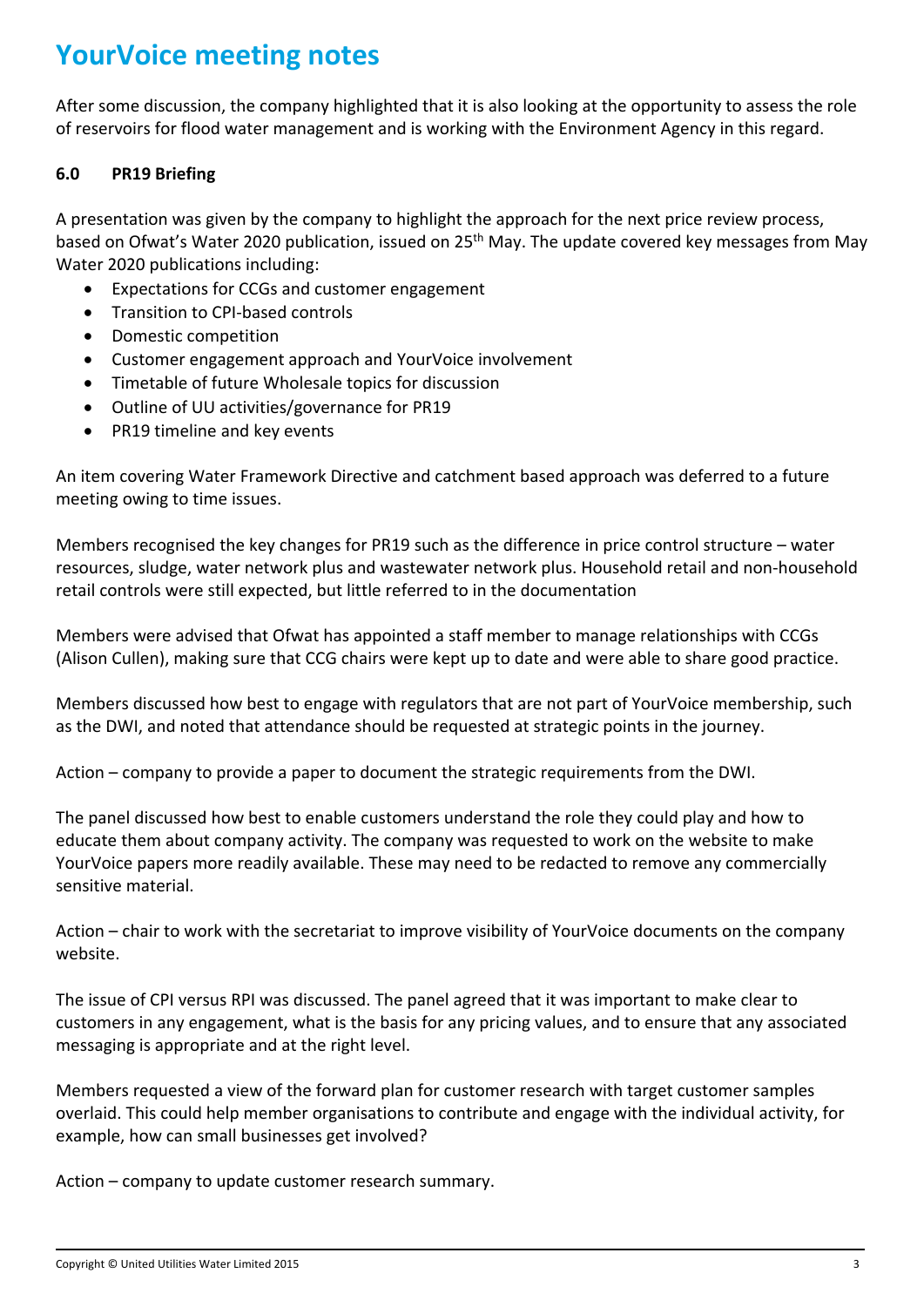## **YourVoice meeting notes**

After some discussion, the company highlighted that it is also looking at the opportunity to assess the role of reservoirs for flood water management and is working with the Environment Agency in this regard.

#### **6.0 PR19 Briefing**

A presentation was given by the company to highlight the approach for the next price review process, based on Ofwat's Water 2020 publication, issued on 25<sup>th</sup> May. The update covered key messages from May Water 2020 publications including:

- Expectations for CCGs and customer engagement
- Transition to CPI-based controls
- Domestic competition
- Customer engagement approach and YourVoice involvement
- Timetable of future Wholesale topics for discussion
- Outline of UU activities/governance for PR19
- PR19 timeline and key events

An item covering Water Framework Directive and catchment based approach was deferred to a future meeting owing to time issues.

Members recognised the key changes for PR19 such as the difference in price control structure – water resources, sludge, water network plus and wastewater network plus. Household retail and non-household retail controls were still expected, but little referred to in the documentation

Members were advised that Ofwat has appointed a staff member to manage relationships with CCGs (Alison Cullen), making sure that CCG chairs were kept up to date and were able to share good practice.

Members discussed how best to engage with regulators that are not part of YourVoice membership, such as the DWI, and noted that attendance should be requested at strategic points in the journey.

Action – company to provide a paper to document the strategic requirements from the DWI.

The panel discussed how best to enable customers understand the role they could play and how to educate them about company activity. The company was requested to work on the website to make YourVoice papers more readily available. These may need to be redacted to remove any commercially sensitive material.

Action – chair to work with the secretariat to improve visibility of YourVoice documents on the company website.

The issue of CPI versus RPI was discussed. The panel agreed that it was important to make clear to customers in any engagement, what is the basis for any pricing values, and to ensure that any associated messaging is appropriate and at the right level.

Members requested a view of the forward plan for customer research with target customer samples overlaid. This could help member organisations to contribute and engage with the individual activity, for example, how can small businesses get involved?

Action – company to update customer research summary.